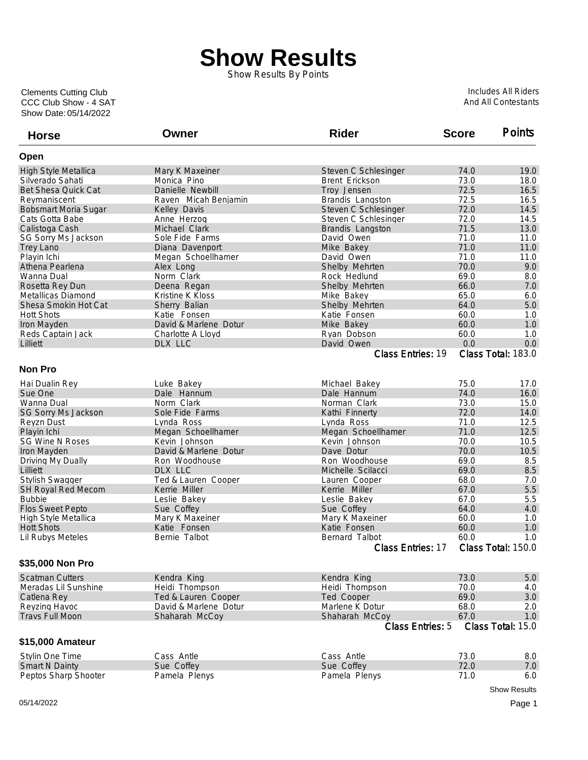## **Show Results**

Show Results By Points

Show Date: 05/14/2022 CCC Club Show - 4 SAT Clements Cutting Club

Includes All Riders And All Contestants

| <b>Horse</b>                | Owner                 | <b>Rider</b>                              | <b>Score</b> | <b>Points</b>            |
|-----------------------------|-----------------------|-------------------------------------------|--------------|--------------------------|
| Open                        |                       |                                           |              |                          |
| High Style Metallica        | Mary K Maxeiner       | Steven C Schlesinger                      | 74.0         | 19.0                     |
| Silverado Sahati            | Monica Pino           | Brent Erickson                            | 73.0         | 18.0                     |
| <b>Bet Shesa Quick Cat</b>  | Danielle Newbill      | Troy Jensen                               | 72.5         | 16.5                     |
| Reymaniscent                | Raven Micah Benjamin  | Brandis Langston                          | 72.5         | 16.5                     |
| Bobsmart Moria Sugar        | Kelley Davis          | Steven C Schlesinger                      | 72.0         | 14.5                     |
| Cats Gotta Babe             | Anne Herzog           | Steven C Schlesinger                      | 72.0         | 14.5                     |
| Calistoga Cash              | Michael Clark         | Brandis Langston                          | 71.5         | 13.0                     |
| SG Sorry Ms Jackson         | Sole Fide Farms       | David Owen                                | 71.0         | 11.0                     |
| <b>Trey Lano</b>            | Diana Davenport       | Mike Bakey                                | 71.0         | 11.0                     |
| Playin Ichi                 | Megan Schoellhamer    | David Owen                                | 71.0         | 11.0                     |
| Athena Pearlena             | Alex Long             | Shelby Mehrten                            | 70.0         | 9.0                      |
| Wanna Dual                  | Norm Clark            | Rock Hedlund                              | 69.0         | 8.0                      |
| Rosetta Rey Dun             | Deena Regan           | Shelby Mehrten                            | 66.0         | 7.0                      |
| Metallicas Diamond          | Kristine K Kloss      | Mike Bakey                                | 65.0         | 6.0                      |
| Shesa Smokin Hot Cat        | Sherry Balian         | Shelby Mehrten                            | 64.0         | 5.0                      |
| <b>Hott Shots</b>           | Katie Fonsen          | Katie Fonsen                              | 60.0         | 1.0                      |
| Iron Mayden                 | David & Marlene Dotur | Mike Bakey                                | 60.0         | 1.0                      |
| Reds Captain Jack           | Charlotte A Lloyd     | Ryan Dobson                               | 60.0         | 1.0                      |
| Lilliett                    | DLX LLC               | David Owen                                | 0.0          | 0.0                      |
|                             |                       | Class Entries: 19                         |              | Class Total: 183.0       |
| <b>Non Pro</b>              |                       |                                           |              |                          |
| Hai Dualin Rey              | Luke Bakey            | Michael Bakey                             | 75.0         | 17.0                     |
| Sue One                     | Dale Hannum           | Dale Hannum                               | 74.0         | 16.0                     |
| Wanna Dual                  | Norm Clark            | Norman Clark                              | 73.0         | 15.0                     |
| SG Sorry Ms Jackson         | Sole Fide Farms       | Kathi Finnerty                            | 72.0         | 14.0                     |
| Reyzn Dust                  | Lynda Ross            | Lynda Ross                                | 71.0         | 12.5                     |
| Playin Ichi                 | Megan Schoellhamer    | Megan Schoellhamer                        | 71.0         | 12.5                     |
| <b>SG Wine N Roses</b>      | Kevin Johnson         | Kevin Johnson                             | 70.0         | 10.5                     |
| Iron Mayden                 | David & Marlene Dotur | Dave Dotur                                | 70.0         | 10.5                     |
| Driving My Dually           | Ron Woodhouse         | Ron Woodhouse                             | 69.0         | 8.5                      |
| Lilliett                    | DLX LLC               | Michelle Scilacci                         | 69.0         | 8.5                      |
| <b>Stylish Swagger</b>      | Ted & Lauren Cooper   | Lauren Cooper                             | 68.0         | 7.0                      |
| SH Royal Red Mecom          | Kerrie Miller         | Kerrie Miller                             | 67.0         | 5.5                      |
| <b>Bubbie</b>               | Leslie Bakey          | Leslie Bakey                              | 67.0         | 5.5                      |
| <b>Flos Sweet Pepto</b>     | Sue Coffey            | Sue Coffey                                | 64.0         | 4.0                      |
| <b>High Style Metallica</b> | Mary K Maxeiner       | Mary K Maxeiner                           | 60.0         | 1.0                      |
| <b>Hott Shots</b>           | Katie Fonsen          | Katie Fonsen                              | 60.0         | 1.0                      |
| Lil Rubys Meteles           | Bernie Talbot         | Bernard Talbot                            | 60.0         | 1.0                      |
|                             |                       | Class Entries: 17                         |              | Class Total: 150.0       |
| \$35,000 Non Pro            |                       |                                           |              |                          |
| <b>Scatman Cutters</b>      |                       | Kendra King                               | 73.0         |                          |
|                             | Kendra King           |                                           |              | 5.0                      |
| Meradas Lil Sunshine        | Heidi Thompson        | Heidi Thompson                            | 70.0         | 4.0                      |
| Catlena Rey                 | Ted & Lauren Cooper   | Ted Cooper                                | 69.0         | 3.0                      |
| Reyzing Havoc               | David & Marlene Dotur | Marlene K Dotur                           | 68.0         | 2.0                      |
| <b>Travs Full Moon</b>      | Shaharah McCoy        | Shaharah McCoy<br><b>Class Entries: 5</b> | 67.0         | 1.0<br>Class Total: 15.0 |
| \$15,000 Amateur            |                       |                                           |              |                          |
|                             |                       |                                           |              |                          |
| Stylin One Time             | Cass Antle            | Cass Antle                                | 73.0         | 8.0                      |
| <b>Smart N Dainty</b>       | Sue Coffey            | Sue Coffey                                | 72.0         | 7.0                      |
| Peptos Sharp Shooter        | Pamela Plenys         | Pamela Plenys                             | 71.0         | 6.0                      |
|                             |                       |                                           |              | <b>Show Results</b>      |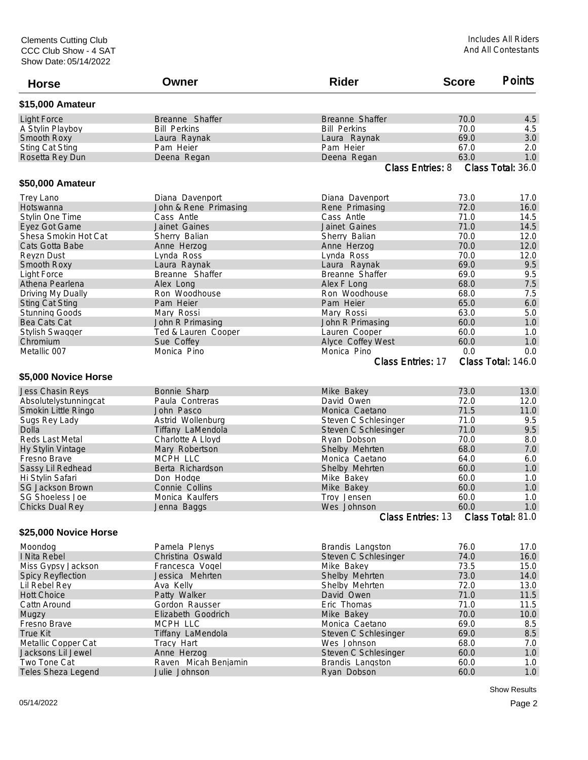| <b>Horse</b>                          | Owner                       | <b>Rider</b>                            | <b>Score</b> | <b>Points</b>            |
|---------------------------------------|-----------------------------|-----------------------------------------|--------------|--------------------------|
| \$15,000 Amateur                      |                             |                                         |              |                          |
| <b>Light Force</b>                    | Breanne Shaffer             | Breanne Shaffer                         | 70.0         | 4.5                      |
| A Stylin Playboy                      | <b>Bill Perkins</b>         | <b>Bill Perkins</b>                     | 70.0         | 4.5                      |
| Smooth Roxy                           | Laura Raynak                | Laura Raynak                            | 69.0         | 3.0                      |
| <b>Sting Cat Sting</b>                | Pam Heier                   | Pam Heier                               | 67.0         | 2.0                      |
| Rosetta Rey Dun                       | Deena Regan                 | Deena Regan                             | 63.0         | 1.0                      |
|                                       |                             | <b>Class Entries: 8</b>                 |              | Class Total: 36.0        |
| \$50,000 Amateur                      |                             |                                         |              |                          |
| <b>Trey Lano</b>                      | Diana Davenport             | Diana Davenport                         | 73.0         | 17.0                     |
| Hotswanna                             | John & Rene Primasing       | Rene Primasing                          | 72.0         | 16.0                     |
| Stylin One Time                       | Cass Antle                  | Cass Antle                              | 71.0         | 14.5                     |
| Eyez Got Game                         | Jainet Gaines               | Jainet Gaines                           | 71.0         | 14.5                     |
| Shesa Smokin Hot Cat                  | Sherry Balian               | Sherry Balian                           | 70.0         | 12.0                     |
| Cats Gotta Babe                       | Anne Herzog                 | Anne Herzog                             | 70.0         | 12.0                     |
| Reyzn Dust                            | Lynda Ross                  | Lynda Ross                              | 70.0         | 12.0                     |
| Smooth Roxy                           | Laura Raynak                | Laura Raynak                            | 69.0         | 9.5                      |
| <b>Light Force</b>                    | Breanne Shaffer             | Breanne Shaffer                         | 69.0         | 9.5                      |
| Athena Pearlena                       | Alex Long                   | Alex F Long                             | 68.0         | 7.5                      |
| Driving My Dually                     | Ron Woodhouse               | Ron Woodhouse                           | 68.0         | 7.5                      |
| <b>Sting Cat Sting</b>                | Pam Heier                   | Pam Heier                               | 65.0         | 6.0                      |
| <b>Stunning Goods</b>                 | Mary Rossi                  | Mary Rossi                              | 63.0         | 5.0                      |
| Bea Cats Cat                          | John R Primasing            | John R Primasing                        | 60.0         | 1.0                      |
| <b>Stylish Swagger</b>                | Ted & Lauren Cooper         | Lauren Cooper                           | 60.0         | 1.0                      |
| Chromium                              | Sue Coffey                  | Alyce Coffey West                       | 60.0         | 1.0                      |
| Metallic 007                          | Monica Pino                 | Monica Pino                             | 0.0          | 0.0                      |
|                                       |                             | Class Entries: 17                       |              | Class Total: 146.0       |
| \$5,000 Novice Horse                  |                             |                                         |              |                          |
| Jess Chasin Reys                      | Bonnie Sharp                | Mike Bakey                              | 73.0         | 13.0                     |
| Absolutelystunningcat                 | Paula Contreras             | David Owen                              | 72.0         | 12.0                     |
| Smokin Little Ringo                   | John Pasco                  | Monica Caetano                          | 71.5         | 11.0                     |
| Sugs Rey Lady                         | Astrid Wollenburg           | Steven C Schlesinger                    | 71.0         | 9.5                      |
| Dolla                                 | Tiffany LaMendola           | Steven C Schlesinger                    | 71.0         | 9.5                      |
| Reds Last Metal                       | Charlotte A Lloyd           | Ryan Dobson                             | 70.0         | 8.0                      |
| Hy Stylin Vintage                     | Mary Robertson              | Shelby Mehrten                          | 68.0         | 7.0                      |
| Fresno Brave                          | MCPH LLC                    | Monica Caetano                          | 64.0         | 6.0                      |
|                                       | Berta Richardson            | Shelby Mehrten                          | 60.0         | 1.0                      |
| Sassy Lil Redhead<br>Hi Stvlin Safari |                             |                                         |              |                          |
| <b>SG Jackson Brown</b>               | Don Hodge<br>Connie Collins | Mike Bakey                              | 60.0         | 1.0                      |
|                                       |                             | Mike Bakey                              | 60.0         | 1.0                      |
| SG Shoeless Joe                       | Monica Kaulfers             | Troy Jensen                             | 60.0         | 1.0                      |
| Chicks Dual Rey                       | Jenna Baggs                 | Wes Johnson<br><b>Class Entries: 13</b> | 60.0         | 1.0<br>Class Total: 81.0 |
| \$25,000 Novice Horse                 |                             |                                         |              |                          |
|                                       |                             |                                         |              |                          |
| Moondog                               | Pamela Plenys               | Brandis Langston                        | 76.0         | 17.0                     |
| I Nita Rebel                          | Christina Oswald            | Steven C Schlesinger                    | 74.0         | 16.0                     |
| Miss Gypsy Jackson                    | Francesca Vogel             | Mike Bakey                              | 73.5         | 15.0                     |
| <b>Spicy Reyflection</b>              | Jessica Mehrten             | Shelby Mehrten                          | 73.0         | 14.0                     |
| Lil Rebel Rey                         | Ava Kelly                   | Shelby Mehrten                          | 72.0         | 13.0                     |
| <b>Hott Choice</b>                    | Patty Walker                | David Owen                              | 71.0         | 11.5                     |
| Cattn Around                          | Gordon Rausser              | Eric Thomas                             | 71.0         | 11.5                     |
| Mugzy                                 | Elizabeth Goodrich          | Mike Bakey                              | 70.0         | 10.0                     |
| Fresno Brave                          | MCPH LLC                    | Monica Caetano                          | 69.0         | 8.5                      |
| <b>True Kit</b>                       | Tiffany LaMendola           | Steven C Schlesinger                    | 69.0         | 8.5                      |
| Metallic Copper Cat                   | Tracy Hart                  | Wes Johnson                             | 68.0         | 7.0                      |
| Jacksons Lil Jewel                    | Anne Herzog                 | Steven C Schlesinger                    | 60.0         | $1.0$                    |
| Two Tone Cat                          | Raven Micah Benjamin        | Brandis Langston                        | 60.0         | 1.0                      |
| Teles Sheza Legend                    | Julie Johnson               | Ryan Dobson                             | 60.0         | 1.0                      |

Show Results